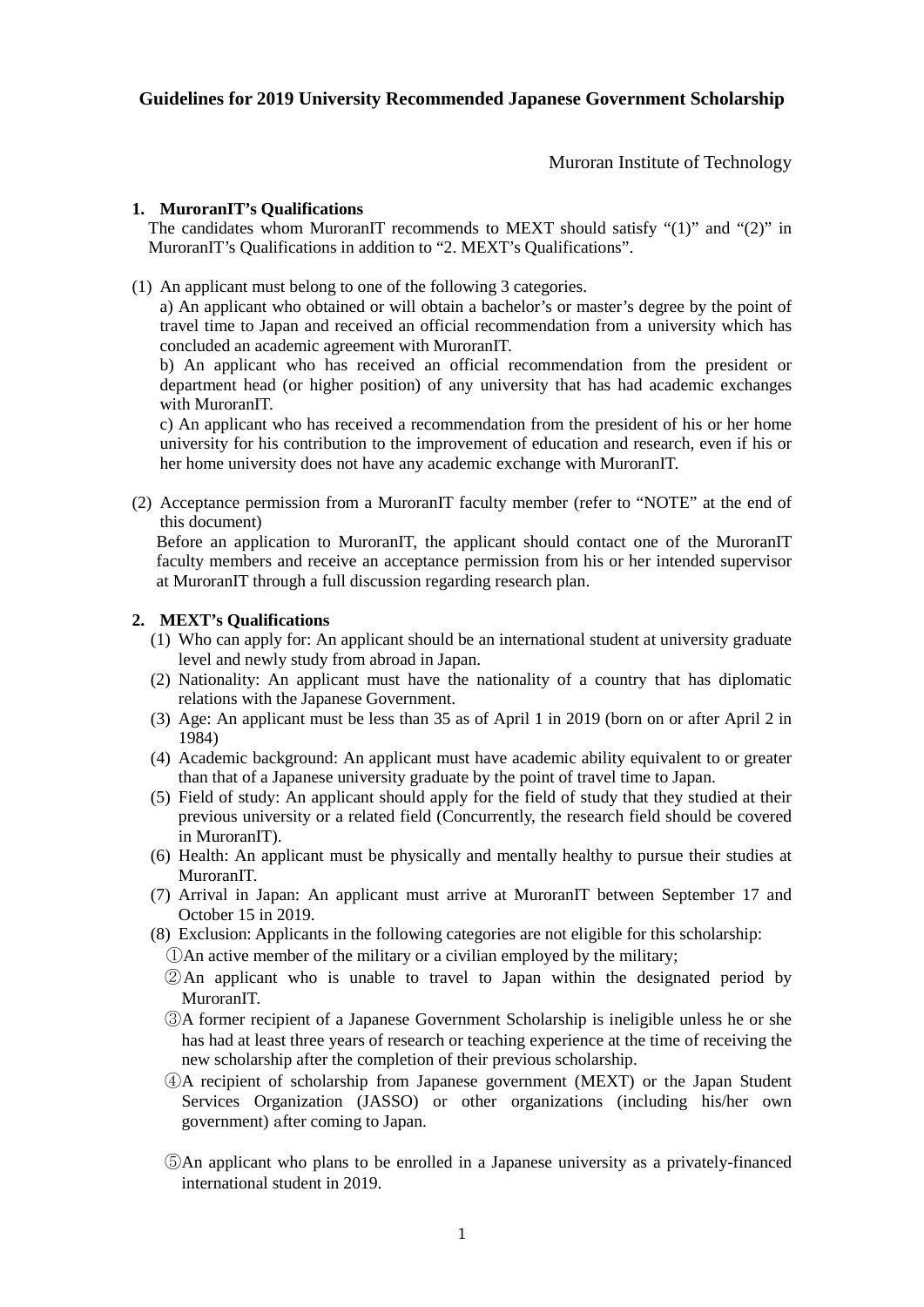Muroran Institute of Technology

# **1. MuroranIT's Qualifications**

The candidates whom MuroranIT recommends to MEXT should satisfy "(1)" and "(2)" in MuroranIT's Qualifications in addition to "2. MEXT's Qualifications".

(1) An applicant must belong to one of the following 3 categories.

a) An applicant who obtained or will obtain a bachelor's or master's degree by the point of travel time to Japan and received an official recommendation from a university which has concluded an academic agreement with MuroranIT.

b) An applicant who has received an official recommendation from the president or department head (or higher position) of any university that has had academic exchanges with MuroranIT.

c) An applicant who has received a recommendation from the president of his or her home university for his contribution to the improvement of education and research, even if his or her home university does not have any academic exchange with MuroranIT.

(2) Acceptance permission from a MuroranIT faculty member (refer to "NOTE" at the end of this document)

Before an application to MuroranIT, the applicant should contact one of the MuroranIT faculty members and receive an acceptance permission from his or her intended supervisor at MuroranIT through a full discussion regarding research plan.

## **2. MEXT's Qualifications**

- (1) Who can apply for: An applicant should be an international student at university graduate level and newly study from abroad in Japan.
- (2) Nationality: An applicant must have the nationality of a country that has diplomatic relations with the Japanese Government.
- (3) Age: An applicant must be less than 35 as of April 1 in 2019 (born on or after April 2 in 1984)
- (4) Academic background: An applicant must have academic ability equivalent to or greater than that of a Japanese university graduate by the point of travel time to Japan.
- (5) Field of study: An applicant should apply for the field of study that they studied at their previous university or a related field (Concurrently, the research field should be covered in MuroranIT).
- (6) Health: An applicant must be physically and mentally healthy to pursue their studies at MuroranIT.
- (7) Arrival in Japan: An applicant must arrive at MuroranIT between September 17 and October 15 in 2019.
- (8) Exclusion: Applicants in the following categories are not eligible for this scholarship:
	- ①An active member of the military or a civilian employed by the military;
	- ②An applicant who is unable to travel to Japan within the designated period by MuroranIT.
	- ③A former recipient of a Japanese Government Scholarship is ineligible unless he or she has had at least three years of research or teaching experience at the time of receiving the new scholarship after the completion of their previous scholarship.
	- ④A recipient of scholarship from Japanese government (MEXT) or the Japan Student Services Organization (JASSO) or other organizations (including his/her own government) after coming to Japan.
	- ⑤An applicant who plans to be enrolled in a Japanese university as a privately-financed international student in 2019.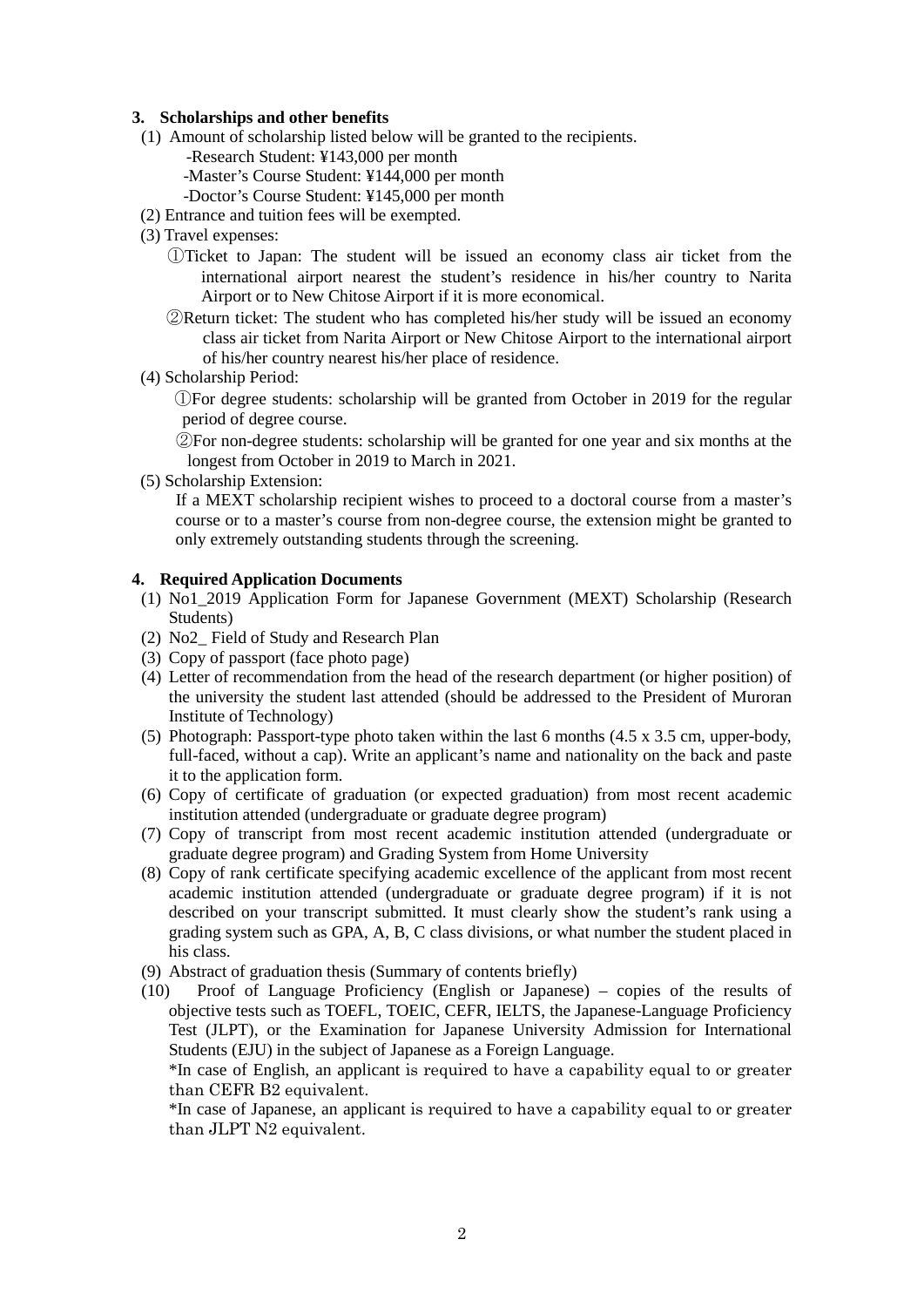#### **3. Scholarships and other benefits**

- (1) Amount of scholarship listed below will be granted to the recipients.
	- -Research Student: ¥143,000 per month
	- -Master's Course Student: ¥144,000 per month
	- -Doctor's Course Student: ¥145,000 per month
- (2) Entrance and tuition fees will be exempted.
- (3) Travel expenses:
	- ①Ticket to Japan: The student will be issued an economy class air ticket from the international airport nearest the student's residence in his/her country to Narita Airport or to New Chitose Airport if it is more economical.
	- ②Return ticket: The student who has completed his/her study will be issued an economy class air ticket from Narita Airport or New Chitose Airport to the international airport of his/her country nearest his/her place of residence.
- (4) Scholarship Period:

 ①For degree students: scholarship will be granted from October in 2019 for the regular period of degree course.

②For non-degree students: scholarship will be granted for one year and six months at the longest from October in 2019 to March in 2021.

(5) Scholarship Extension:

If a MEXT scholarship recipient wishes to proceed to a doctoral course from a master's course or to a master's course from non-degree course, the extension might be granted to only extremely outstanding students through the screening.

#### **4. Required Application Documents**

- (1) No1\_2019 Application Form for Japanese Government (MEXT) Scholarship (Research Students)
- (2) No2\_ Field of Study and Research Plan
- (3) Copy of passport (face photo page)
- (4) Letter of recommendation from the head of the research department (or higher position) of the university the student last attended (should be addressed to the President of Muroran Institute of Technology)
- (5) Photograph: Passport-type photo taken within the last 6 months (4.5 x 3.5 cm, upper-body, full-faced, without a cap). Write an applicant's name and nationality on the back and paste it to the application form.
- (6) Copy of certificate of graduation (or expected graduation) from most recent academic institution attended (undergraduate or graduate degree program)
- (7) Copy of transcript from most recent academic institution attended (undergraduate or graduate degree program) and Grading System from Home University
- (8) Copy of rank certificate specifying academic excellence of the applicant from most recent academic institution attended (undergraduate or graduate degree program) if it is not described on your transcript submitted. It must clearly show the student's rank using a grading system such as GPA, A, B, C class divisions, or what number the student placed in his class.
- (9) Abstract of graduation thesis (Summary of contents briefly)
- (10) Proof of Language Proficiency (English or Japanese) copies of the results of objective tests such as TOEFL, TOEIC, CEFR, IELTS, the Japanese-Language Proficiency Test (JLPT), or the Examination for Japanese University Admission for International Students (EJU) in the subject of Japanese as a Foreign Language.

\*In case of English, an applicant is required to have a capability equal to or greater than CEFR B2 equivalent.

\*In case of Japanese, an applicant is required to have a capability equal to or greater than JLPT N2 equivalent.